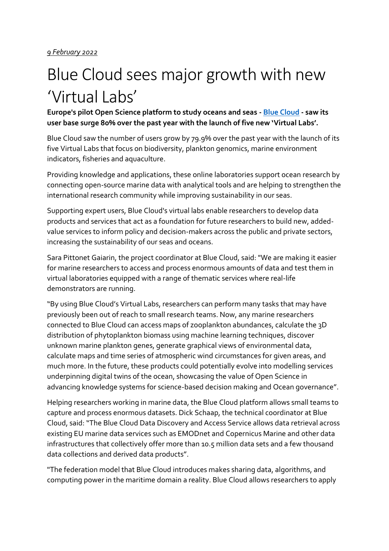# Blue Cloud sees major growth with new 'Virtual Labs'

**Europe's pilot Open Science platform to study oceans and seas - [Blue Cloud](https://www.blue-cloud.org/) - saw its user base surge 80% over the past year with the launch of five new 'Virtual Labs'.** 

Blue Cloud saw the number of users grow by 79.9% over the past year with the launch of its five Virtual Labs that focus on biodiversity, plankton genomics, marine environment indicators, fisheries and aquaculture.

Providing knowledge and applications, these online laboratories support ocean research by connecting open-source marine data with analytical tools and are helping to strengthen the international research community while improving sustainability in our seas.

Supporting expert users, Blue Cloud's virtual labs enable researchers to develop data products and services that act as a foundation for future researchers to build new, addedvalue services to inform policy and decision-makers across the public and private sectors, increasing the sustainability of our seas and oceans.

Sara Pittonet Gaiarin, the project coordinator at Blue Cloud, said: "We are making it easier for marine researchers to access and process enormous amounts of data and test them in virtual laboratories equipped with a range of thematic services where real-life demonstrators are running.

"By using Blue Cloud's Virtual Labs, researchers can perform many tasks that may have previously been out of reach to small research teams. Now, any marine researchers connected to Blue Cloud can access maps of zooplankton abundances, calculate the 3D distribution of phytoplankton biomass using machine learning techniques, discover unknown marine plankton genes, generate graphical views of environmental data, calculate maps and time series of atmospheric wind circumstances for given areas, and much more. In the future, these products could potentially evolve into modelling services underpinning digital twins of the ocean, showcasing the value of Open Science in advancing knowledge systems for science-based decision making and Ocean governance".

Helping researchers working in marine data, the Blue Cloud platform allows small teams to capture and process enormous datasets. Dick Schaap, the technical coordinator at Blue Cloud, said: "The Blue Cloud Data Discovery and Access Service allows data retrieval across existing EU marine data services such as EMODnet and Copernicus Marine and other data infrastructures that collectively offer more than 10.5 million data sets and a few thousand data collections and derived data products".

"The federation model that Blue Cloud introduces makes sharing data, algorithms, and computing power in the maritime domain a reality. Blue Cloud allows researchers to apply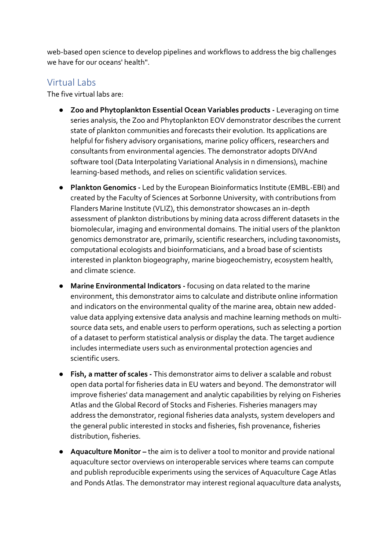web-based open science to develop pipelines and workflows to address the big challenges we have for our oceans' health".

## Virtual Labs

The five virtual labs are:

- **Zoo and Phytoplankton Essential Ocean Variables products -** Leveraging on time series analysis, the Zoo and Phytoplankton EOV demonstrator describes the current state of plankton communities and forecasts their evolution. Its applications are helpful for fishery advisory organisations, marine policy officers, researchers and consultants from environmental agencies. The demonstrator adopts DIVAnd software tool (Data Interpolating Variational Analysis in n dimensions), machine learning-based methods, and relies on scientific validation services.
- **Plankton Genomics -** Led by the European Bioinformatics Institute (EMBL-EBI) and created by the Faculty of Sciences at Sorbonne University, with contributions from Flanders Marine Institute (VLIZ), this demonstrator showcases an in-depth assessment of plankton distributions by mining data across different datasets in the biomolecular, imaging and environmental domains. The initial users of the plankton genomics demonstrator are, primarily, scientific researchers, including taxonomists, computational ecologists and bioinformaticians, and a broad base of scientists interested in plankton biogeography, marine biogeochemistry, ecosystem health, and climate science.
- **Marine Environmental Indicators -** focusing on data related to the marine environment, this demonstrator aims to calculate and distribute online information and indicators on the environmental quality of the marine area, obtain new addedvalue data applying extensive data analysis and machine learning methods on multisource data sets, and enable users to perform operations, such as selecting a portion of a dataset to perform statistical analysis or display the data. The target audience includes intermediate users such as environmental protection agencies and scientific users.
- **Fish, a matter of scales -** This demonstrator aims to deliver a scalable and robust open data portal for fisheries data in EU waters and beyond. The demonstrator will improve fisheries' data management and analytic capabilities by relying on Fisheries Atlas and the Global Record of Stocks and Fisheries. Fisheries managers may address the demonstrator, regional fisheries data analysts, system developers and the general public interested in stocks and fisheries, fish provenance, fisheries distribution, fisheries.
- **Aquaculture Monitor** the aim is to deliver a tool to monitor and provide national aquaculture sector overviews on interoperable services where teams can compute and publish reproducible experiments using the services of Aquaculture Cage Atlas and Ponds Atlas. The demonstrator may interest regional aquaculture data analysts,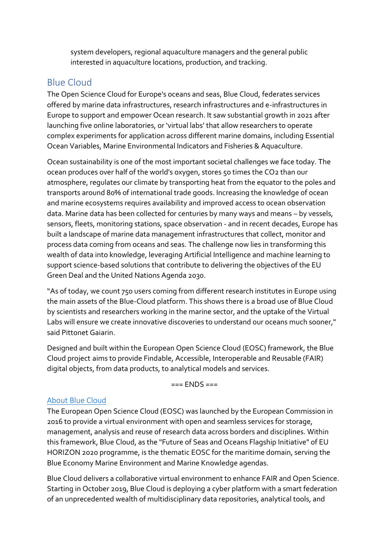system developers, regional aquaculture managers and the general public interested in aquaculture locations, production, and tracking.

## Blue Cloud

The Open Science Cloud for Europe's oceans and seas, Blue Cloud, federates services offered by marine data infrastructures, research infrastructures and e-infrastructures in Europe to support and empower Ocean research. It saw substantial growth in 2021 after launching five online laboratories, or 'virtual labs' that allow researchers to operate complex experiments for application across different marine domains, including Essential Ocean Variables, Marine Environmental Indicators and Fisheries & Aquaculture.

Ocean sustainability is one of the most important societal challenges we face today. The ocean produces over half of the world's oxygen, stores 50 times the CO2 than our atmosphere, regulates our climate by transporting heat from the equator to the poles and transports around 80% of international trade goods. Increasing the knowledge of ocean and marine ecosystems requires availability and improved access to ocean observation data. Marine data has been collected for centuries by many ways and means – by vessels, sensors, fleets, monitoring stations, space observation - and in recent decades, Europe has built a landscape of marine data management infrastructures that collect, monitor and process data coming from oceans and seas. The challenge now lies in transforming this wealth of data into knowledge, leveraging Artificial Intelligence and machine learning to support science-based solutions that contribute to delivering the objectives of the EU Green Deal and the United Nations Agenda 2030.

"As of today, we count 750 users coming from different research institutes in Europe using the main assets of the Blue-Cloud platform. This shows there is a broad use of Blue Cloud by scientists and researchers working in the marine sector, and the uptake of the Virtual Labs will ensure we create innovative discoveries to understand our oceans much sooner," said Pittonet Gaiarin.

Designed and built within the European Open Science Cloud (EOSC) framework, the Blue Cloud project aims to provide Findable, Accessible, Interoperable and Reusable (FAIR) digital objects, from data products, to analytical models and services.

=== ENDS ===

#### [About Blue Cloud](https://www.blue-cloud.org/about)

The European Open Science Cloud (EOSC) was launched by the European Commission in 2016 to provide a virtual environment with open and seamless services for storage, management, analysis and reuse of research data across borders and disciplines. Within this framework, Blue Cloud, as the "Future of Seas and Oceans Flagship Initiative" of EU HORIZON 2020 programme, is the thematic EOSC for the maritime domain, serving the Blue Economy Marine Environment and Marine Knowledge agendas.

Blue Cloud delivers a collaborative virtual environment to enhance FAIR and Open Science. Starting in October 2019, Blue Cloud is deploying a cyber platform with a smart federation of an unprecedented wealth of multidisciplinary data repositories, analytical tools, and